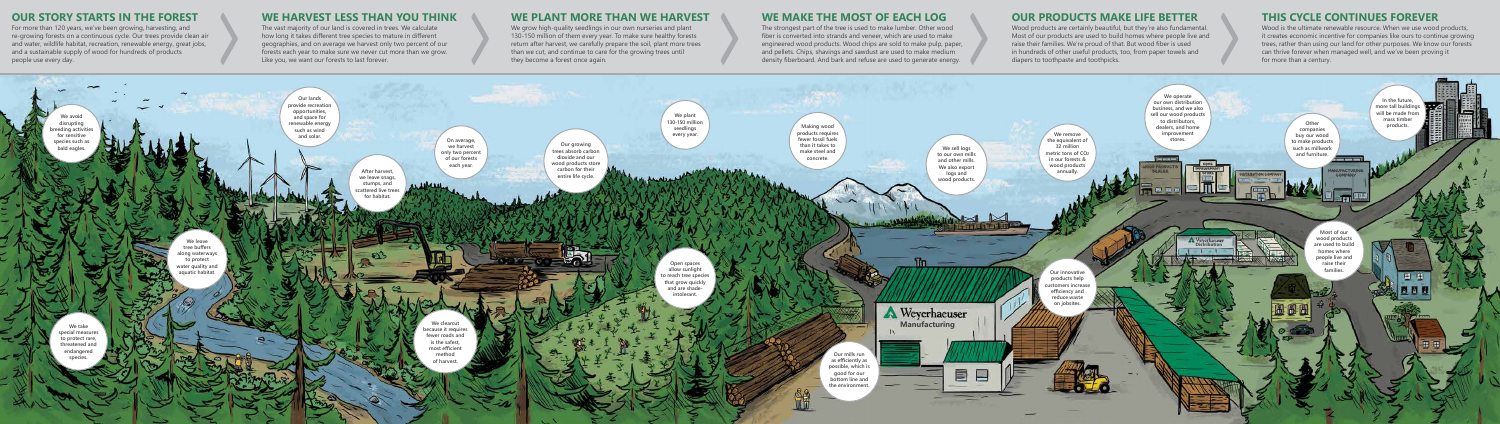We grow high-quality seedlings in our own nurseries and plant 130-150 million of them every year. To make sure healthy forests return after harvest, we carefully prepare the soil, plant more trees than we cut, and continue to care for the growing trees until they become a forest once again.

#### **WE HARVEST LESS THAN YOU THINK**

The vast majority of our land is covered in trees. We calculate how long it takes different tree species to mature in different geographies, and on average we harvest only two percent of our forests each year to make sure we never cut more than we grow. Like you, we want our forests to last forever.

#### **WE PLANT MORE THAN WE HARVEST**

#### **WE MAKE THE MOST OF EACH LOG**



The strongest part of the tree is used to make lumber. Other wood fiber is converted into strands and veneer, which are used to make engineered wood products. Wood chips are sold to make pulp, paper, and pellets. Chips, shavings and sawdust are used to make medium density fiberboard. And bark and refuse are used to generate energy.

#### **OUR PRODUCTS MAKE LIFE BETTER**

Wood products are certainly beautiful, but they're also fundamental. Most of our products are used to build homes where people live and raise their families. We're proud of that. But wood fiber is used in hundreds of other useful products, too, from paper towels and diapers to toothpaste and toothpicks.

### **THIS CYCLE CONTINUES FOREVER**

Wood is the ultimate renewable resource. When we use wood products, it creates economic incentive for companies like ours to continue growing trees, rather than using our land for other purposes. We know our forests can thrive forever when managed well, and we've been proving it for more than a century.

#### **OUR STORY STARTS IN THE FOREST**

For more than 120 years, we've been growing, harvesting, and re-growing forests on a continuous cycle. Our trees provide clean air and water, wildlife habitat, recreation, renewable energy, great jobs, and a sustainable supply of wood for hundreds of products people use every day.